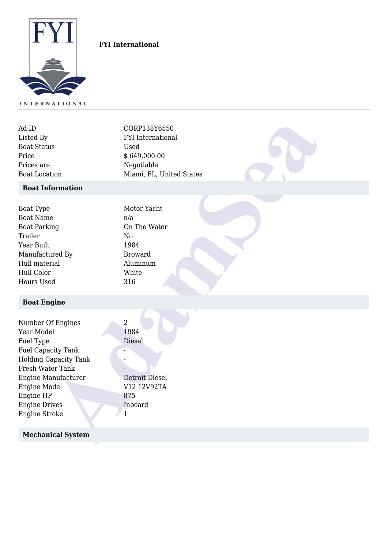

## **FYI International**

| Ad ID                | CORP138Y6550             |  |
|----------------------|--------------------------|--|
| Listed By            | <b>FYI</b> International |  |
| <b>Boat Status</b>   | Used                     |  |
| Price                | \$649,000.00             |  |
| Prices are           | Negotiable               |  |
| <b>Boat Location</b> | Miami, FL, United States |  |

#### **Boat Information**

| Motor Yacht<br>n/a |
|--------------------|
| On The Water       |
| No                 |
| 1984               |
| <b>Broward</b>     |
| Aluminum           |
| White              |
| 316                |
|                    |

# **Boat Engine**

| Number Of Engines<br>Year Model<br>Fuel Type | 2<br>1984<br>Diesel |
|----------------------------------------------|---------------------|
| <b>Fuel Capacity Tank</b>                    |                     |
| <b>Holding Capacity Tank</b>                 |                     |
| Fresh Water Tank                             |                     |
| Engine Manufacturer                          | Detroit Diesel      |
| <b>Engine Model</b>                          | V12 12V92TA         |
| Engine HP                                    | 875                 |
| <b>Engine Drives</b>                         | Inboard             |
| <b>Engine Stroke</b>                         |                     |

### **Mechanical System**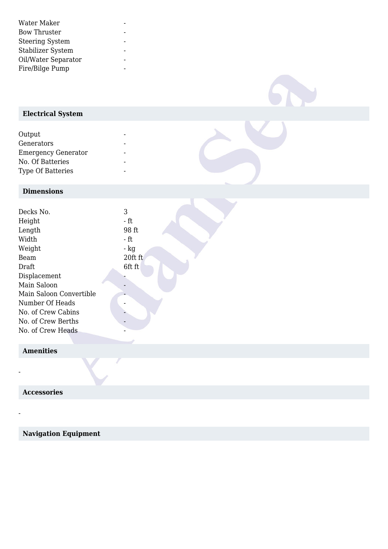| Water Maker            |  |
|------------------------|--|
| <b>Bow Thruster</b>    |  |
| <b>Steering System</b> |  |
| Stabilizer System      |  |
| Oil/Water Separator    |  |
| Fire/Bilge Pump        |  |

# **Electrical System**

| Output                     |  |
|----------------------------|--|
| Generators                 |  |
| <b>Emergency Generator</b> |  |
| No. Of Batteries           |  |
| <b>Type Of Batteries</b>   |  |

### **Dimensions**

| Decks No.               | 3       |  |
|-------------------------|---------|--|
| Height                  | - ft    |  |
| Length                  | 98 ft   |  |
| Width                   | - ft    |  |
| Weight                  | - kg    |  |
| Beam                    | 20ft ft |  |
| Draft                   | 6ft ft  |  |
| Displacement            |         |  |
| Main Saloon             |         |  |
| Main Saloon Convertible |         |  |
| Number Of Heads         |         |  |
| No. of Crew Cabins      |         |  |
| No. of Crew Berths      |         |  |
| No. of Crew Heads       |         |  |
|                         |         |  |

562

## **Amenities**

-

-

 **Accessories**

 **Navigation Equipment**